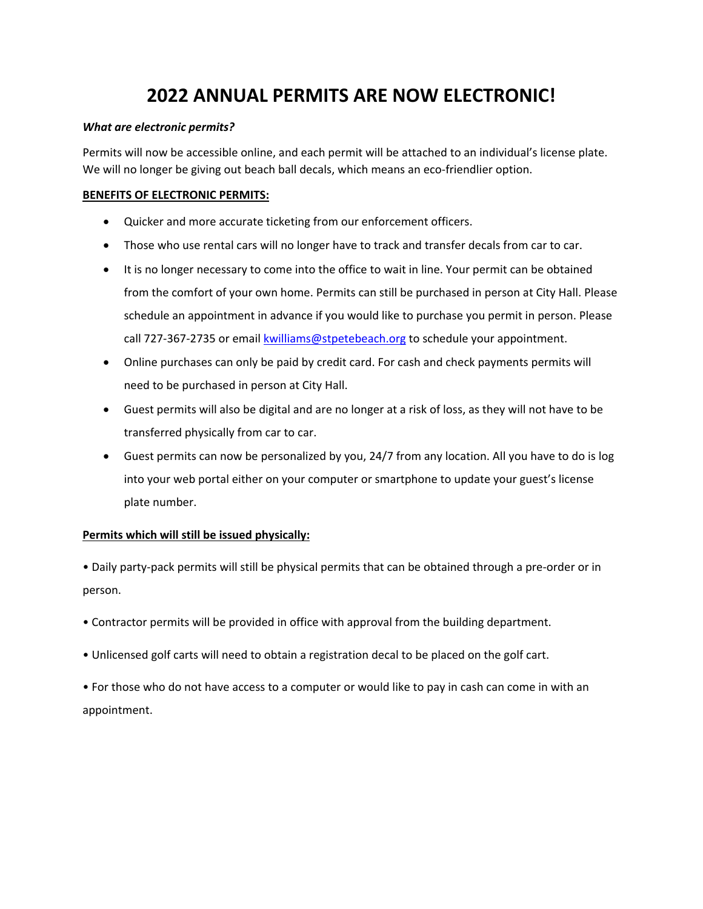# **2022 ANNUAL PERMITS ARE NOW ELECTRONIC!**

#### *What are electronic permits?*

Permits will now be accessible online, and each permit will be attached to an individual's license plate. We will no longer be giving out beach ball decals, which means an eco-friendlier option.

#### **BENEFITS OF ELECTRONIC PERMITS:**

- Quicker and more accurate ticketing from our enforcement officers.
- Those who use rental cars will no longer have to track and transfer decals from car to car.
- It is no longer necessary to come into the office to wait in line. Your permit can be obtained from the comfort of your own home. Permits can still be purchased in person at City Hall. Please schedule an appointment in advance if you would like to purchase you permit in person. Please call 727‐367‐2735 or email kwilliams@stpetebeach.org to schedule your appointment.
- Online purchases can only be paid by credit card. For cash and check payments permits will need to be purchased in person at City Hall.
- Guest permits will also be digital and are no longer at a risk of loss, as they will not have to be transferred physically from car to car.
- Guest permits can now be personalized by you, 24/7 from any location. All you have to do is log into your web portal either on your computer or smartphone to update your guest's license plate number.

#### **Permits which will still be issued physically:**

• Daily party‐pack permits will still be physical permits that can be obtained through a pre‐order or in person.

- Contractor permits will be provided in office with approval from the building department.
- Unlicensed golf carts will need to obtain a registration decal to be placed on the golf cart.

• For those who do not have access to a computer or would like to pay in cash can come in with an appointment.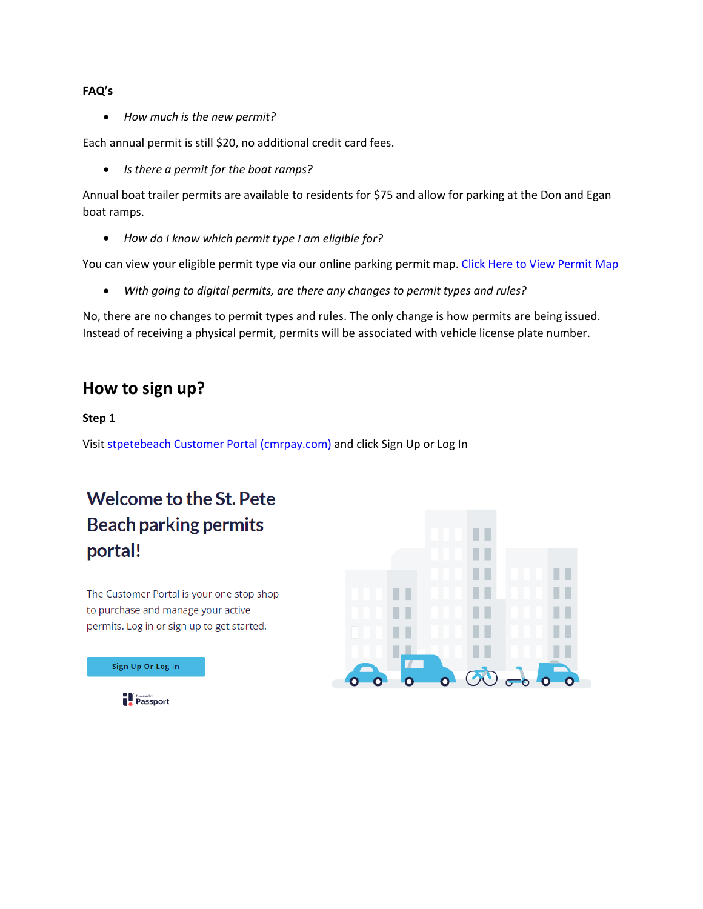#### **FAQ's**

*How much is the new permit?*

Each annual permit is still \$20, no additional credit card fees.

*Is there a permit for the boat ramps?*

Annual boat trailer permits are available to residents for \$75 and allow for parking at the Don and Egan boat ramps.

*How do I know which permit type I am eligible for?* 

You can view your eligible permit type via our online parking permit map. Click Here to View Permit Map

*With going to digital permits, are there any changes to permit types and rules?*

No, there are no changes to permit types and rules. The only change is how permits are being issued. Instead of receiving a physical permit, permits will be associated with vehicle license plate number.

# **How to sign up?**

#### **Step 1**

Visit stpetebeach Customer Portal (cmrpay.com) and click Sign Up or Log In

# **Welcome to the St. Pete Beach parking permits** portal!

The Customer Portal is your one stop shop to purchase and manage your active permits. Log in or sign up to get started.



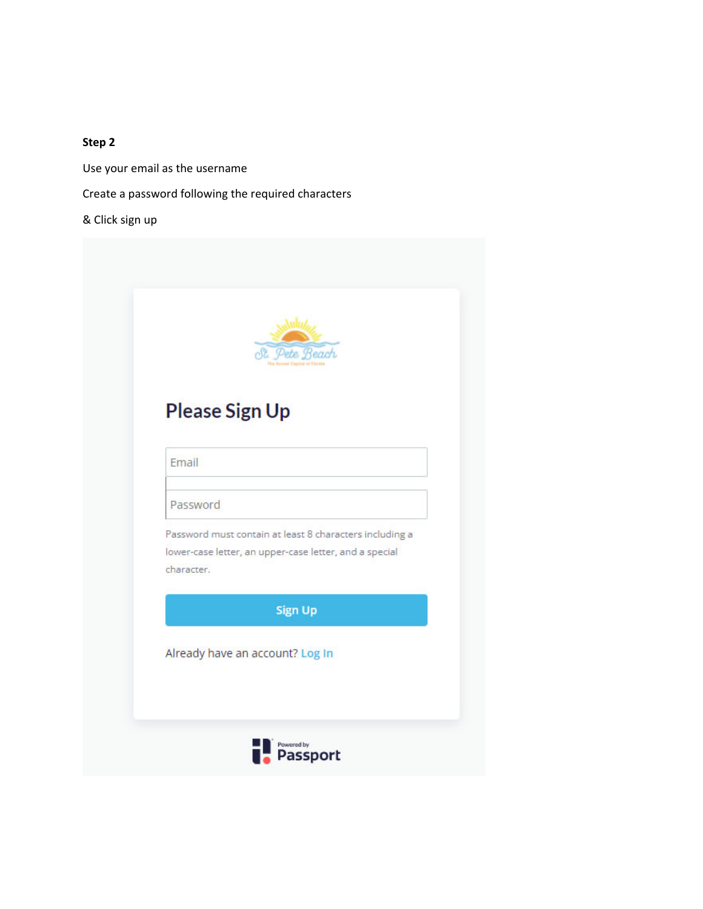Use your email as the username

Create a password following the required characters

& Click sign up

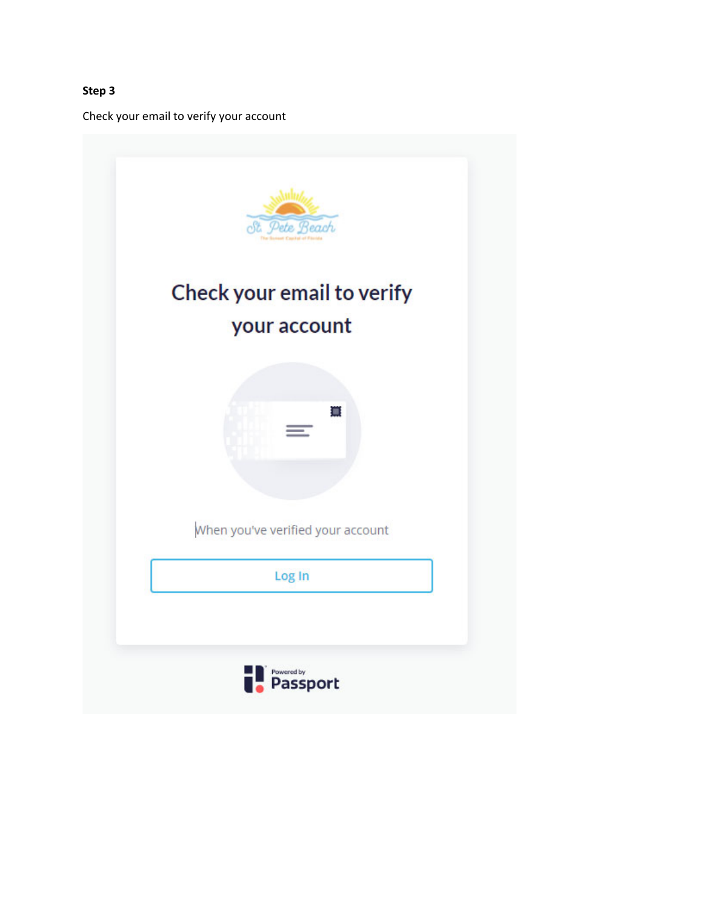Check your email to verify your account

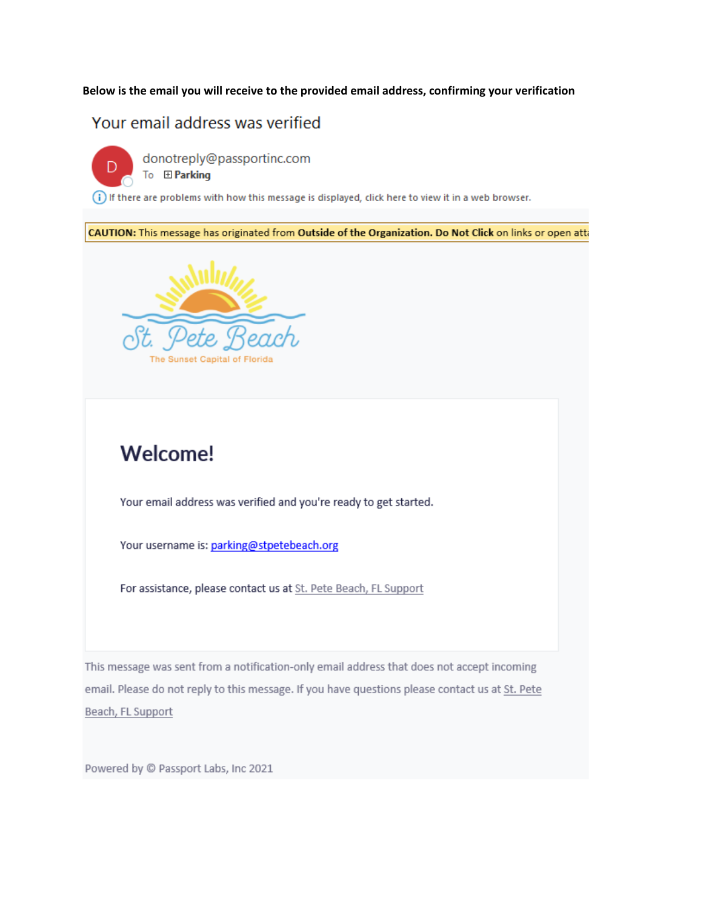#### **Below is the email you will receive to the provided email address, confirming your verification**

# Your email address was verified



donotreply@passportinc.com

To El Parking

(i) If there are problems with how this message is displayed, click here to view it in a web browser.

CAUTION: This message has originated from Outside of the Organization. Do Not Click on links or open atta



# **Welcome!**

Your email address was verified and you're ready to get started.

Your username is: parking@stpetebeach.org

For assistance, please contact us at St. Pete Beach, FL Support

This message was sent from a notification-only email address that does not accept incoming email. Please do not reply to this message. If you have questions please contact us at St. Pete Beach, FL Support

Powered by @ Passport Labs, Inc 2021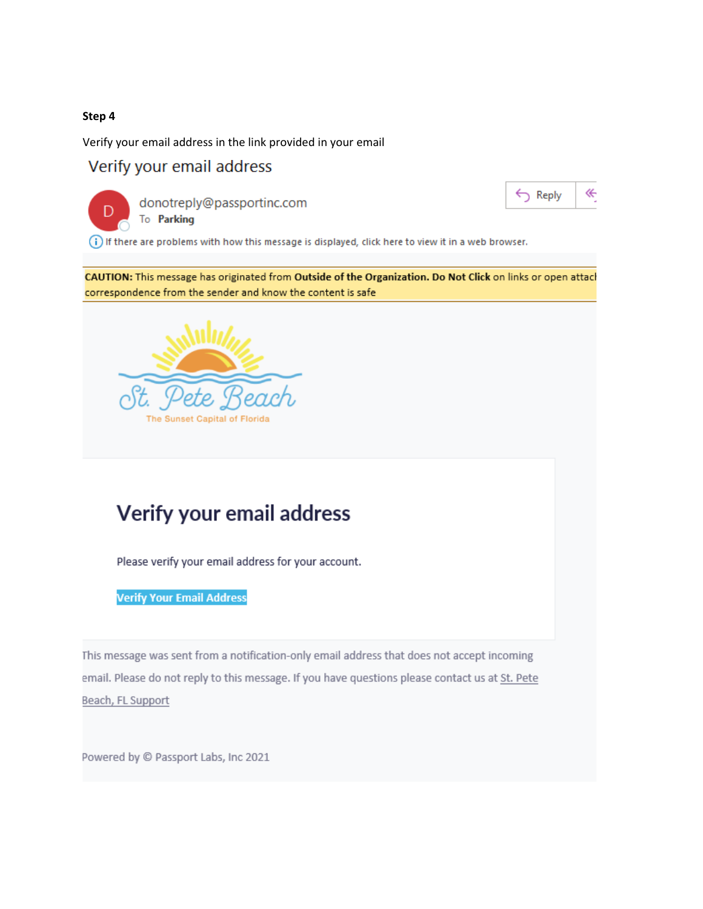Verify your email address in the link provided in your email

# Verify your email address



donotreply@passportinc.com To Parking



(i) If there are problems with how this message is displayed, click here to view it in a web browser.

CAUTION: This message has originated from Outside of the Organization. Do Not Click on links or open attach correspondence from the sender and know the content is safe



# Verify your email address

Please verify your email address for your account.

**Verify Your Email Address** 

This message was sent from a notification-only email address that does not accept incoming email. Please do not reply to this message. If you have questions please contact us at St. Pete Beach, FL Support

Powered by @ Passport Labs, Inc 2021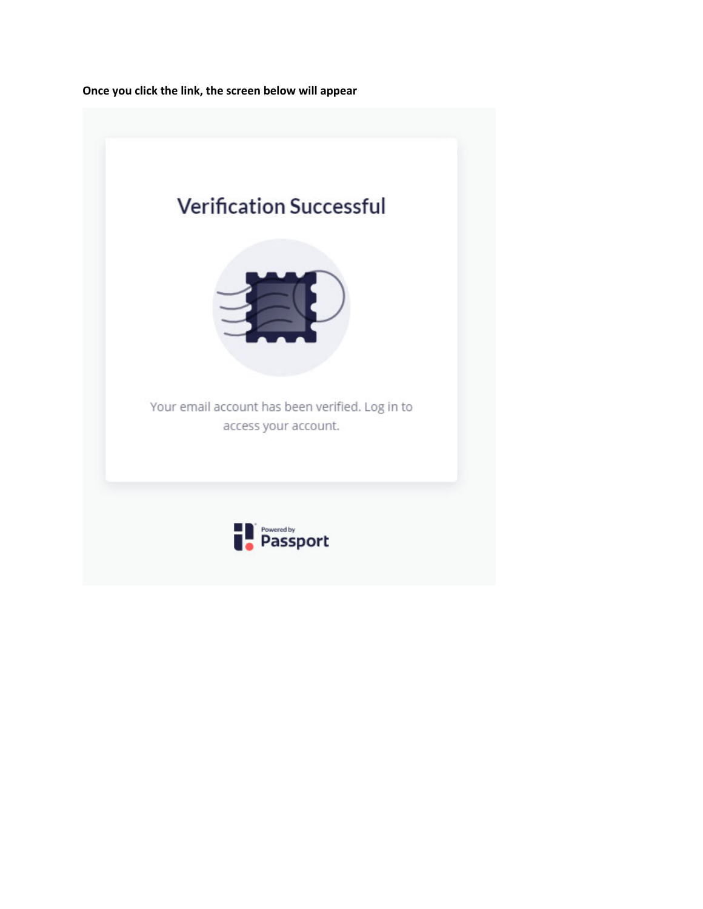**Once you click the link, the screen below will appear**

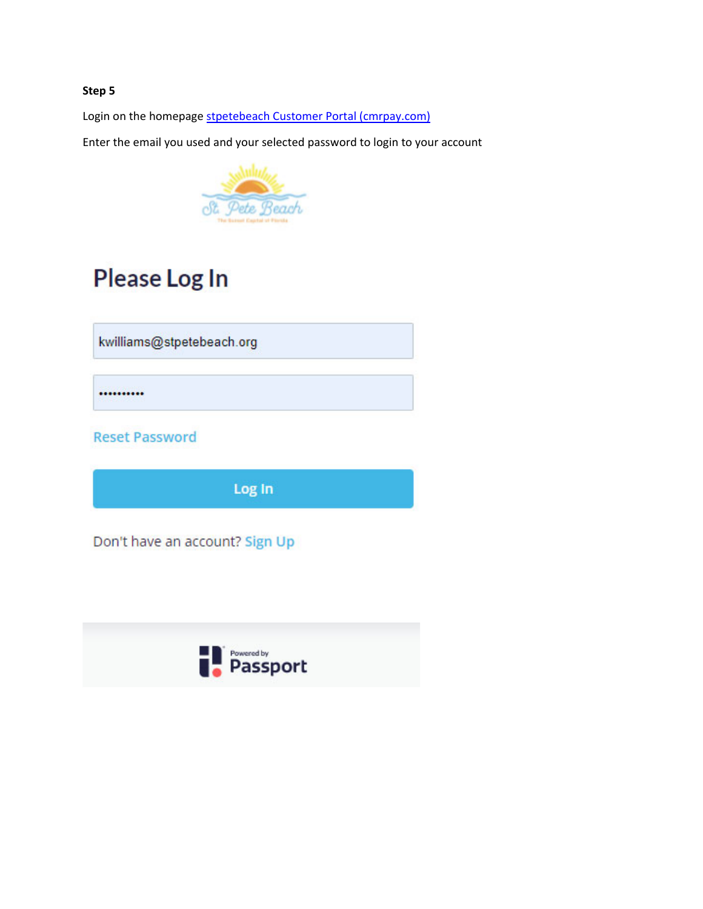Login on the homepage stpetebeach Customer Portal (cmrpay.com)

Enter the email you used and your selected password to login to your account



# Please Log In

kwilliams@stpetebeach.org

..........

**Reset Password** 

Log In

Don't have an account? Sign Up

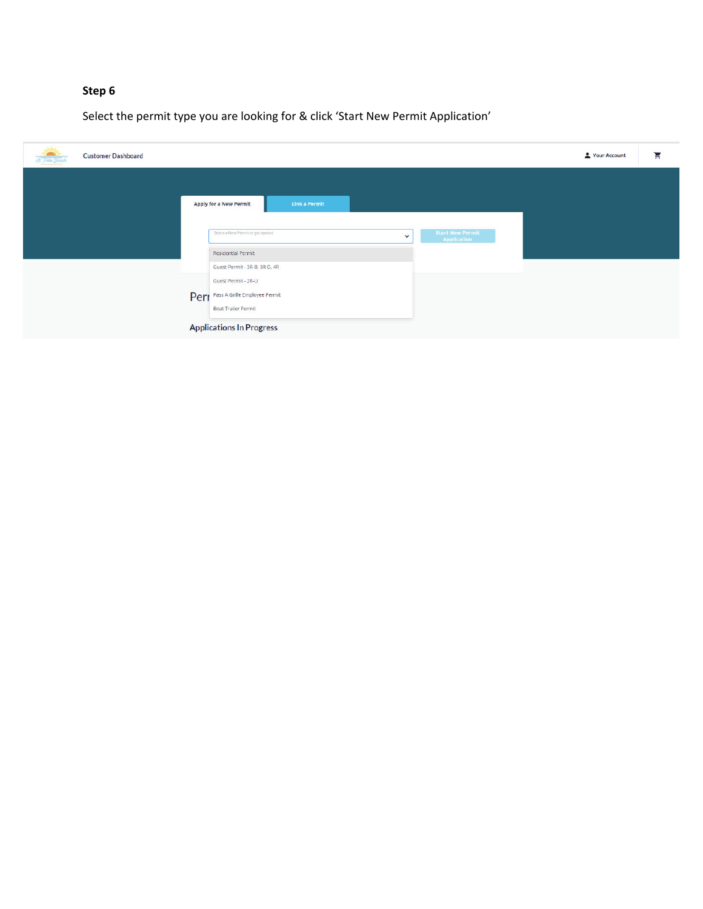Select the permit type you are looking for & click 'Start New Permit Application'

| <b>John</b><br><b>Customer Dashboard</b><br>32 Pete Feach |                                                                                                                          | ਸ਼<br>Your Account |
|-----------------------------------------------------------|--------------------------------------------------------------------------------------------------------------------------|--------------------|
|                                                           | Link a Permit<br><b>Apply for a New Permit</b>                                                                           |                    |
|                                                           | <b>Start New Permit-</b><br>Select a New Permit to get started<br>$\check{ }$<br>Application<br>Residential Permit       |                    |
|                                                           | Guest Permit - 3R-B. 3R-D. 4R<br>Guest Permit - 2R-U<br>Perr Pass A Grille Employee Permit<br><b>Boat Trailer Permit</b> |                    |
|                                                           | <b>Applications In Progress</b>                                                                                          |                    |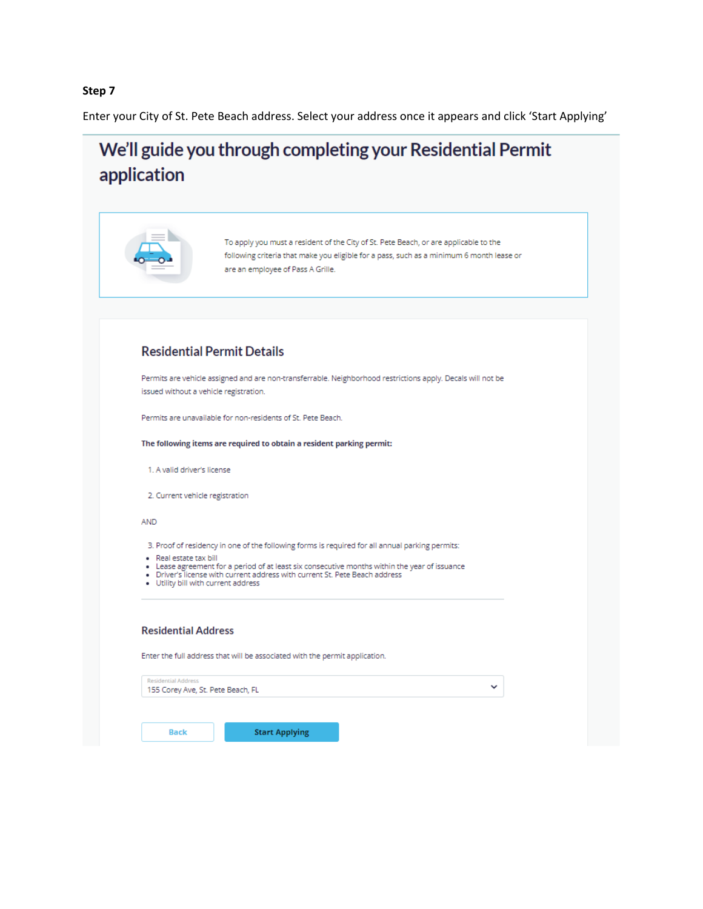Enter your City of St. Pete Beach address. Select your address once it appears and click 'Start Applying'

# We'll guide you through completing your Residential Permit application

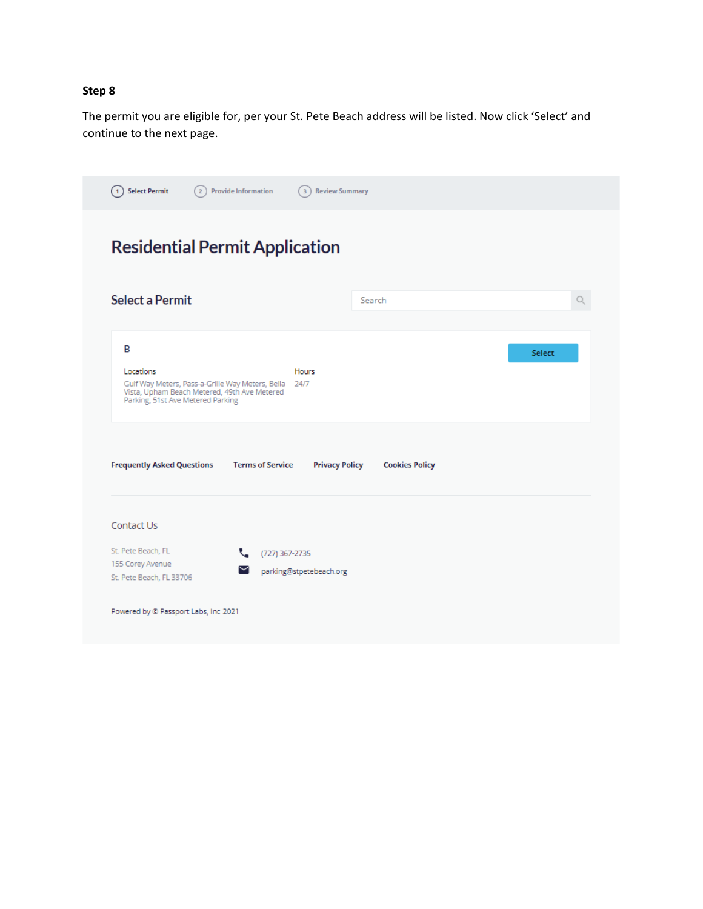The permit you are eligible for, per your St. Pete Beach address will be listed. Now click 'Select' and continue to the next page.

|                                                                                                                                                    | <b>Residential Permit Application</b>            |                       |               |
|----------------------------------------------------------------------------------------------------------------------------------------------------|--------------------------------------------------|-----------------------|---------------|
| <b>Select a Permit</b>                                                                                                                             |                                                  | Search                |               |
| B                                                                                                                                                  |                                                  |                       | <b>Select</b> |
| Locations<br>Gulf Way Meters, Pass-a-Grille Way Meters, Bella<br>Vista, Upham Beach Metered, 49th Ave Metered<br>Parking, 51st Ave Metered Parking | Hours<br>24/7                                    |                       |               |
|                                                                                                                                                    |                                                  |                       |               |
|                                                                                                                                                    | <b>Terms of Service</b><br><b>Privacy Policy</b> | <b>Cookies Policy</b> |               |
|                                                                                                                                                    |                                                  |                       |               |
| <b>Frequently Asked Questions</b><br>Contact Us                                                                                                    |                                                  |                       |               |
| St. Pete Beach, FL<br>155 Corey Avenue                                                                                                             | (727) 367-2735<br>₹.                             |                       |               |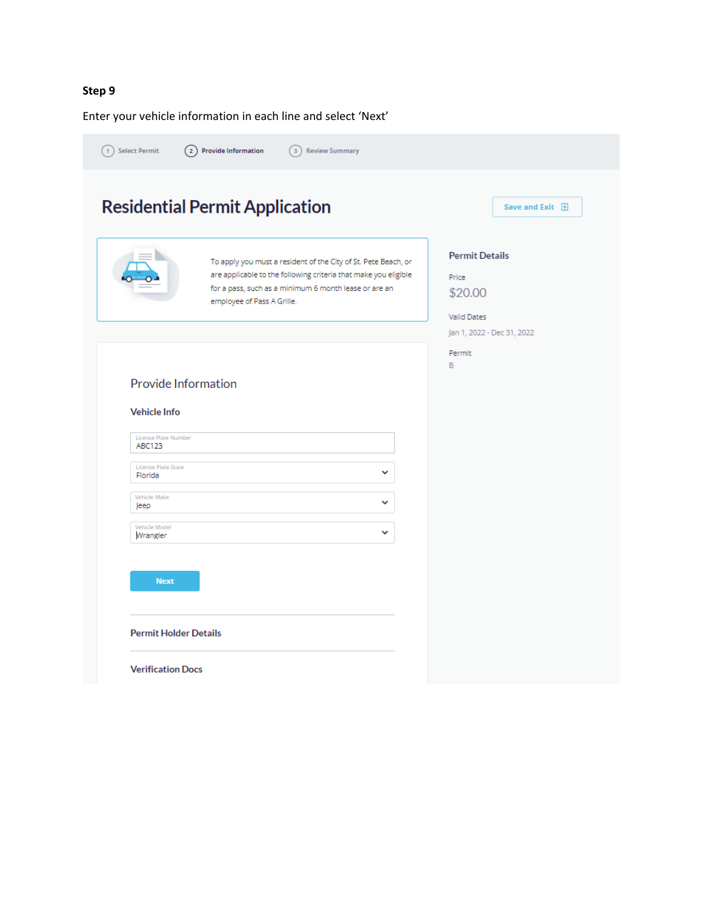Enter your vehicle information in each line and select 'Next'

|                                                                                                                       | <b>Residential Permit Application</b>                                                                                                                                                                                    | Save and Exit 日                                                                        |
|-----------------------------------------------------------------------------------------------------------------------|--------------------------------------------------------------------------------------------------------------------------------------------------------------------------------------------------------------------------|----------------------------------------------------------------------------------------|
|                                                                                                                       | To apply you must a resident of the City of St. Pete Beach, or<br>are applicable to the following criteria that make you eligible<br>for a pass, such as a minimum 6 month lease or are an<br>employee of Pass A Grille. | <b>Permit Details</b><br>Price<br>\$20.00<br>Valid Dates<br>Jan 1, 2022 - Dec 31, 2022 |
| Provide Information<br><b>Vehicle Info</b><br>License Plate Number<br><b>ABC123</b><br>License Plate State<br>Florida | v                                                                                                                                                                                                                        | B                                                                                      |
| Vehicle Make<br>Jeep<br>Vehicle Model<br>Wrangler                                                                     | v<br>v                                                                                                                                                                                                                   |                                                                                        |
| <b>Next</b>                                                                                                           |                                                                                                                                                                                                                          |                                                                                        |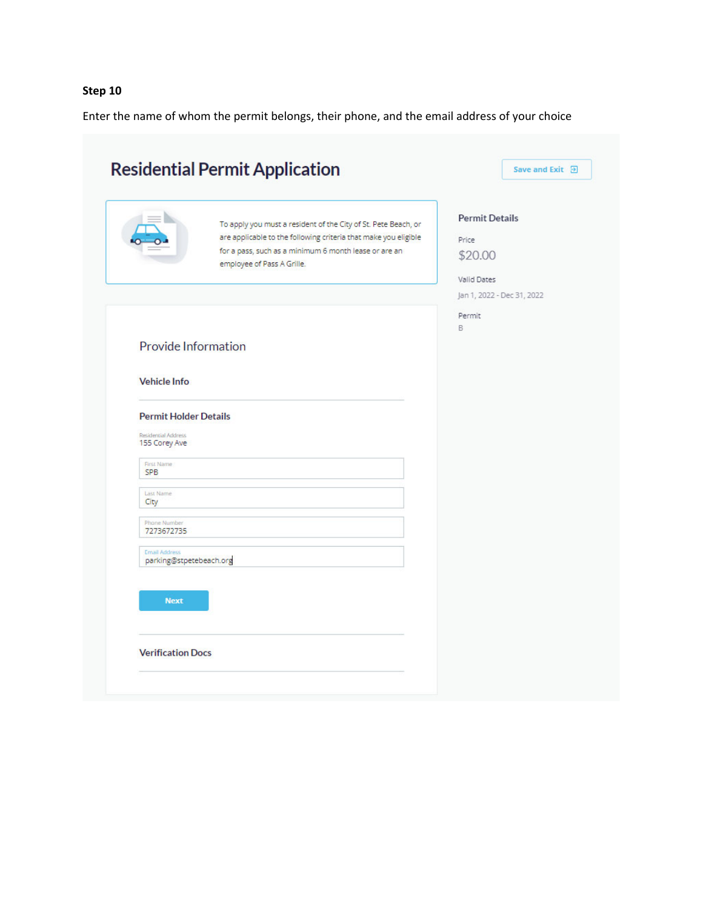Enter the name of whom the permit belongs, their phone, and the email address of your choice

|                                                                                                  | <b>Residential Permit Application</b>                                                                                                                                                                                    | Save and Exit <b>D</b>                                                                 |
|--------------------------------------------------------------------------------------------------|--------------------------------------------------------------------------------------------------------------------------------------------------------------------------------------------------------------------------|----------------------------------------------------------------------------------------|
|                                                                                                  | To apply you must a resident of the City of St. Pete Beach, or<br>are applicable to the following criteria that make you eligible<br>for a pass, such as a minimum 6 month lease or are an<br>employee of Pass A Grille. | <b>Permit Details</b><br>Price<br>\$20.00<br>Valid Dates<br>Jan 1, 2022 - Dec 31, 2022 |
| Provide Information<br><b>Vehicle Info</b>                                                       |                                                                                                                                                                                                                          | Permit<br>B.                                                                           |
| <b>Permit Holder Details</b><br>Residential Address<br>155 Corey Ave<br>First Name<br><b>SPB</b> |                                                                                                                                                                                                                          |                                                                                        |
| Last Name<br>City<br>Phone Number<br>7273672735                                                  |                                                                                                                                                                                                                          |                                                                                        |
| <b>Email Address</b><br>parking@stpetebeach.org<br><b>Next</b>                                   |                                                                                                                                                                                                                          |                                                                                        |
|                                                                                                  | <b>Verification Docs</b>                                                                                                                                                                                                 |                                                                                        |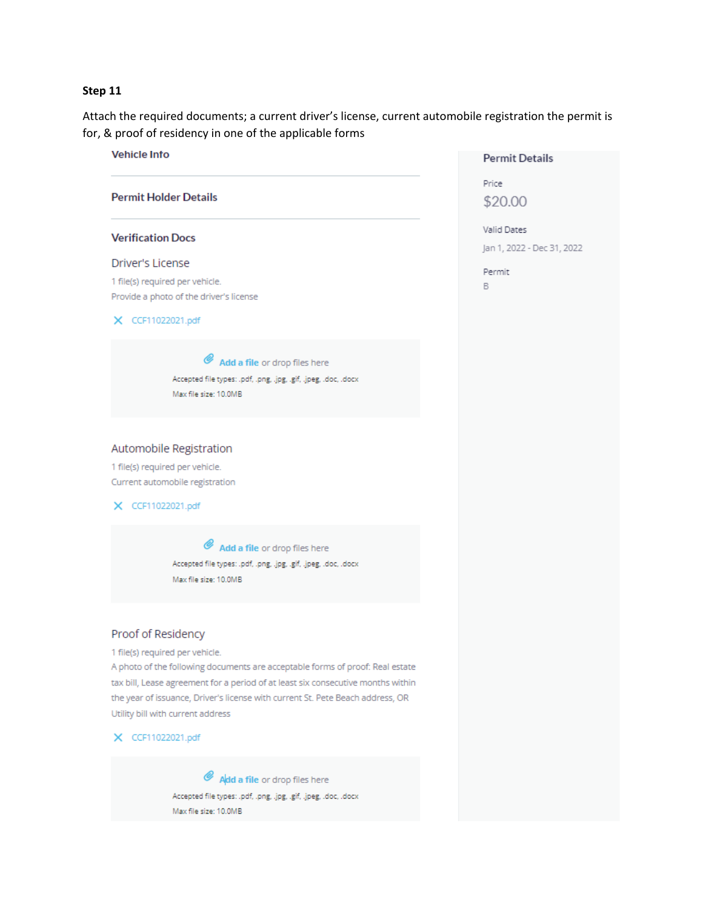Attach the required documents; a current driver's license, current automobile registration the permit is for, & proof of residency in one of the applicable forms

**Permit Details** 

Price

\$20.00

Valid Dates

Permit

 $\mathsf B$ 

Jan 1, 2022 - Dec 31, 2022



Max file size: 10.0MB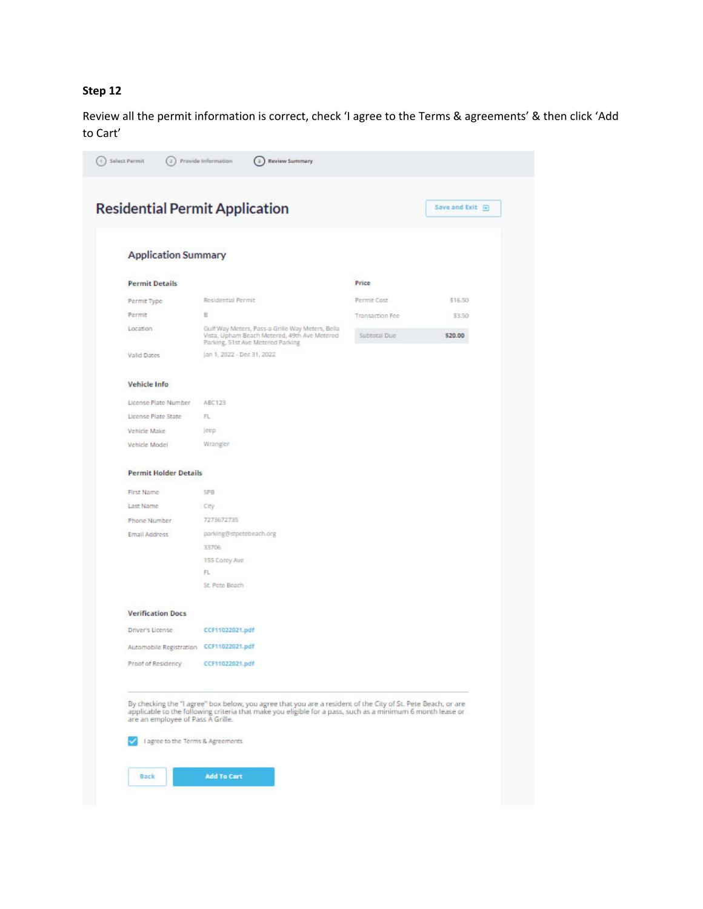Review all the permit information is correct, check 'I agree to the Terms & agreements' & then click 'Add to Cart'

| <b>Permit Details</b>                   |                                                                                                       |                                        |                   |
|-----------------------------------------|-------------------------------------------------------------------------------------------------------|----------------------------------------|-------------------|
|                                         |                                                                                                       | <b>Price</b>                           |                   |
|                                         | Residential Permit                                                                                    | <b>Permit Cost</b>                     | \$16.50           |
| Permit Type                             |                                                                                                       |                                        |                   |
| Permit<br>Location                      | в<br>Gulf Way Meters, Pass-a-Grille Way Meters, Bella<br>Vista, Upham Beach Metered, 49th Ave Metered | <b>Transaction Fee</b><br>Subtotal Due | \$3.50<br>\$20.00 |
| <b>Valid Dates</b>                      | Parking, 51st Ave Metered Parking<br>Jan 1, 2022 - Dec 31, 2022                                       |                                        |                   |
| <b>Vehicle Info</b>                     |                                                                                                       |                                        |                   |
|                                         |                                                                                                       |                                        |                   |
| License Plate Number                    | ABC123                                                                                                |                                        |                   |
| License Plate State                     | FL                                                                                                    |                                        |                   |
| Vehicle Make                            | jeep.                                                                                                 |                                        |                   |
| Vehicle Model                           | Wrangler                                                                                              |                                        |                   |
| <b>Permit Holder Details</b>            |                                                                                                       |                                        |                   |
| First Name                              | <b>SPB</b>                                                                                            |                                        |                   |
| Last Name                               | City                                                                                                  |                                        |                   |
| <b>Phone Number</b>                     | 7273672735                                                                                            |                                        |                   |
| <b>Email Address</b>                    | parking@stpetebeach.org                                                                               |                                        |                   |
|                                         | 33706                                                                                                 |                                        |                   |
|                                         | 155 Corey Ave                                                                                         |                                        |                   |
|                                         | FL                                                                                                    |                                        |                   |
|                                         | St. Pete Beach                                                                                        |                                        |                   |
| <b>Verification Docs</b>                |                                                                                                       |                                        |                   |
|                                         | CCF11022021.pdf                                                                                       |                                        |                   |
| Driver's License                        |                                                                                                       |                                        |                   |
| Automobile Registration CCF11022021.pdf |                                                                                                       |                                        |                   |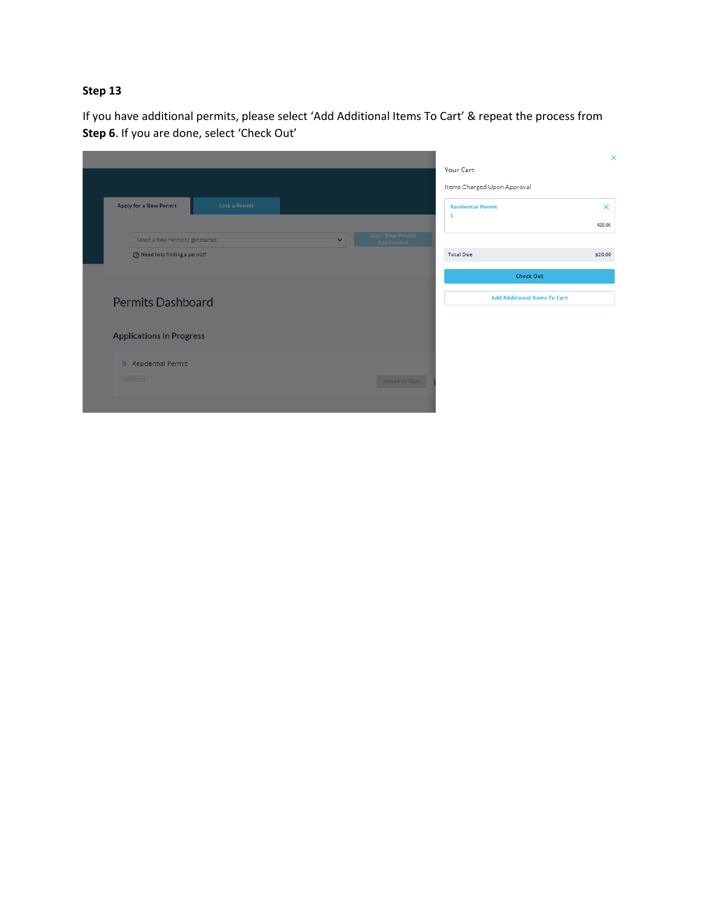If you have additional permits, please select 'Add Additional Items To Cart' & repeat the process from **Step 6**. If you are done, select 'Check Out'

|                                      |               |              |                                 |                                     | ×        |
|--------------------------------------|---------------|--------------|---------------------------------|-------------------------------------|----------|
|                                      |               |              |                                 | Your Cart                           |          |
|                                      |               |              |                                 | Items Charged Upon Approval         |          |
| <b>Apply for a New Permit</b>        | Link a Permit |              |                                 | <b>Residential Permit</b>           | $\times$ |
|                                      |               |              |                                 | $\mathbb B$                         | \$20.00  |
| Select a New Permit to get started   |               | $\checkmark$ | Start New Permit<br>Application |                                     |          |
| <b>O</b> Need help finding a permit? |               |              |                                 | <b>Total Due</b>                    | \$20.00  |
|                                      |               |              |                                 | <b>Check Out</b>                    |          |
| <b>Permits Dashboard</b>             |               |              |                                 | <b>Add Additional Items To Cart</b> |          |
| <b>Applications In Progress</b>      |               |              |                                 |                                     |          |
| <b>B</b> Residential Permit          |               |              |                                 |                                     |          |
| <b>DESCRIPTION</b>                   |               |              | <b>Added to Cart</b>            |                                     |          |
|                                      |               |              |                                 |                                     |          |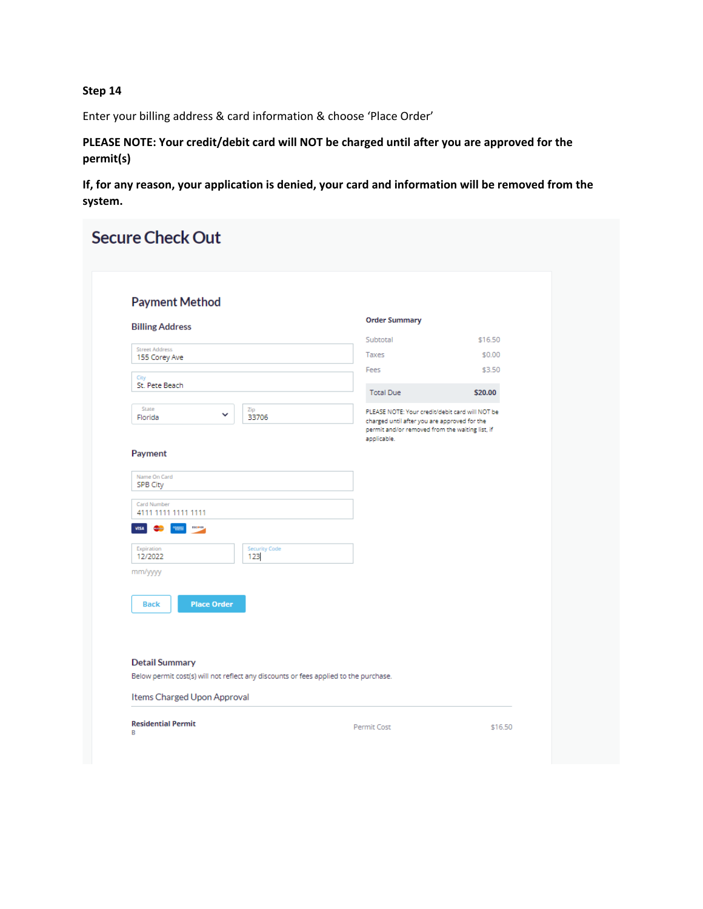Enter your billing address & card information & choose 'Place Order'

**PLEASE NOTE: Your credit/debit card will NOT be charged until after you are approved for the permit(s)**

**If, for any reason, your application is denied, your card and information will be removed from the system.**

| <b>Payment Method</b>                           |                                                                                      |                                                                                                                                                                   |         |
|-------------------------------------------------|--------------------------------------------------------------------------------------|-------------------------------------------------------------------------------------------------------------------------------------------------------------------|---------|
| <b>Billing Address</b>                          |                                                                                      | <b>Order Summary</b>                                                                                                                                              |         |
| <b>Street Address</b>                           |                                                                                      | Subtotal                                                                                                                                                          | \$16.50 |
| 155 Corey Ave                                   |                                                                                      | Taxes                                                                                                                                                             | \$0.00  |
| City                                            |                                                                                      | Fees                                                                                                                                                              | \$3.50  |
| St. Pete Beach                                  |                                                                                      | <b>Total Due</b>                                                                                                                                                  | \$20.00 |
| State<br>v<br>Florida                           | Zip<br>33706                                                                         | PLEASE NOTE: Your credit/debit card will NOT be<br>charged until after you are approved for the<br>permit and/or removed from the waiting list, if<br>applicable. |         |
| Payment<br>Name On Card<br>SPB City             |                                                                                      |                                                                                                                                                                   |         |
| Card Number                                     |                                                                                      |                                                                                                                                                                   |         |
| 4111 1111 1111 1111                             |                                                                                      |                                                                                                                                                                   |         |
| <b>WSA</b><br><b>DOCAVIX</b><br><b>Colorado</b> |                                                                                      |                                                                                                                                                                   |         |
| Expiration<br>12/2022                           | Security Code<br>123                                                                 |                                                                                                                                                                   |         |
| mm/yyyy                                         |                                                                                      |                                                                                                                                                                   |         |
|                                                 |                                                                                      |                                                                                                                                                                   |         |
| <b>Place Order</b><br><b>Back</b>               |                                                                                      |                                                                                                                                                                   |         |
|                                                 |                                                                                      |                                                                                                                                                                   |         |
|                                                 |                                                                                      |                                                                                                                                                                   |         |
| <b>Detail Summary</b>                           |                                                                                      |                                                                                                                                                                   |         |
|                                                 | Below permit cost(s) will not reflect any discounts or fees applied to the purchase. |                                                                                                                                                                   |         |